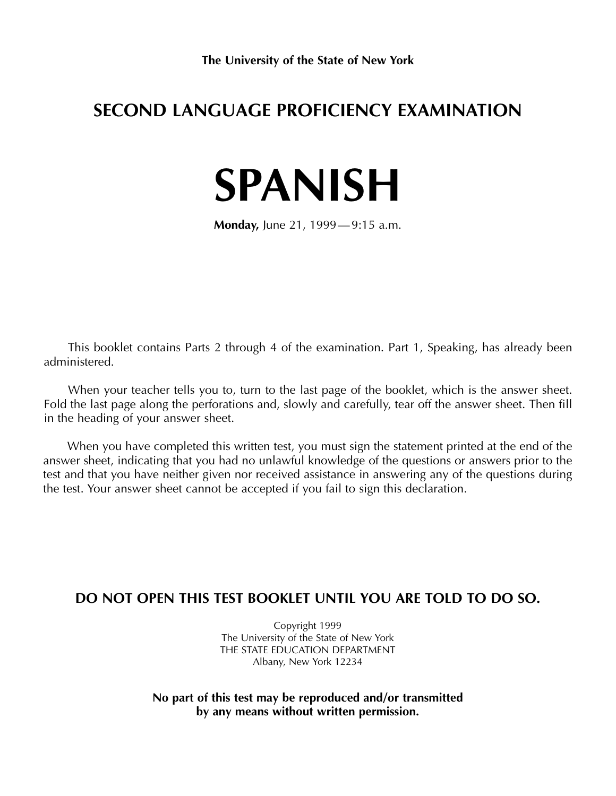## **SECOND LANGUAGE PROFICIENCY EXAMINATION**

# **SPANISH**

**Monday,** June 21, 1999— 9:15 a.m.

This booklet contains Parts 2 through 4 of the examination. Part 1, Speaking, has already been administered.

When your teacher tells you to, turn to the last page of the booklet, which is the answer sheet. Fold the last page along the perforations and, slowly and carefully, tear off the answer sheet. Then fill in the heading of your answer sheet.

When you have completed this written test, you must sign the statement printed at the end of the answer sheet, indicating that you had no unlawful knowledge of the questions or answers prior to the test and that you have neither given nor received assistance in answering any of the questions during the test. Your answer sheet cannot be accepted if you fail to sign this declaration.

## **DO NOT OPEN THIS TEST BOOKLET UNTIL YOU ARE TOLD TO DO SO.**

Copyright 1999 The University of the State of New York THE STATE EDUCATION DEPARTMENT Albany, New York 12234

**No part of this test may be reproduced and/or transmitted by any means without written permission.**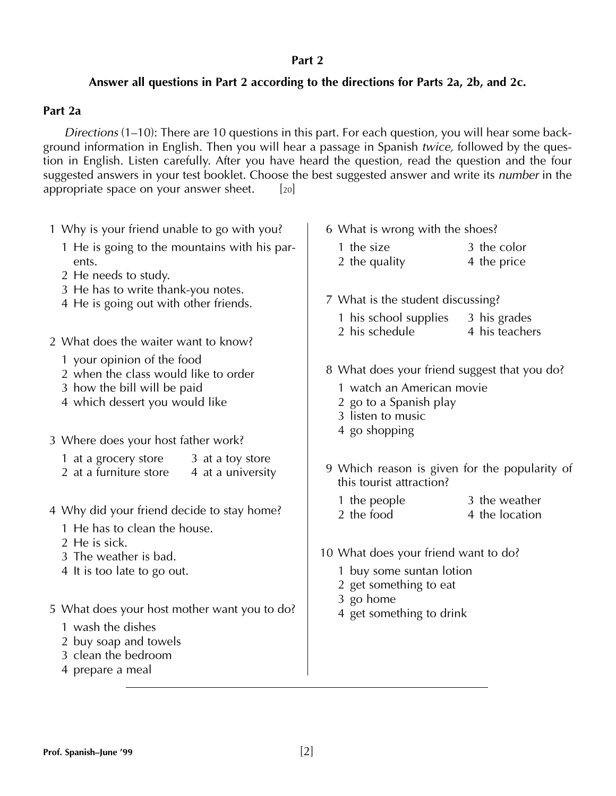### **Part 2**

## **Answer all questions in Part 2 according to the directions for Parts 2a, 2b, and 2c.**

### **Part 2a**

*Directions* (1–10): There are 10 questions in this part. For each question, you will hear some background information in English. Then you will hear a passage in Spanish *twice,* followed by the question in English. Listen carefully. After you have heard the question, read the question and the four suggested answers in your test booklet. Choose the best suggested answer and write its *number* in the appropriate space on your answer sheet.  $[20]$ 

| 1 Why is your friend unable to go with you?                                                                                           | 6 What is wrong with the shoes?                                                                                          |  |  |
|---------------------------------------------------------------------------------------------------------------------------------------|--------------------------------------------------------------------------------------------------------------------------|--|--|
| 1 He is going to the mountains with his par-<br>ents.<br>2 He needs to study.                                                         | 3 the color<br>1 the size<br>2 the quality<br>4 the price                                                                |  |  |
| 3 He has to write thank-you notes.<br>4 He is going out with other friends.                                                           | 7 What is the student discussing?                                                                                        |  |  |
| 2 What does the waiter want to know?                                                                                                  | 1 his school supplies<br>3 his grades<br>2 his schedule<br>4 his teachers                                                |  |  |
| 1 your opinion of the food<br>2 when the class would like to order<br>3 how the bill will be paid<br>4 which dessert you would like   | 8 What does your friend suggest that you do?<br>1 watch an American movie<br>2 go to a Spanish play<br>3 listen to music |  |  |
| 3 Where does your host father work?                                                                                                   | 4 go shopping                                                                                                            |  |  |
| 1 at a grocery store<br>3 at a toy store<br>2 at a furniture store<br>4 at a university                                               | 9 Which reason is given for the popularity of<br>this tourist attraction?                                                |  |  |
| 4 Why did your friend decide to stay home?<br>1 He has to clean the house.                                                            | 3 the weather<br>1 the people<br>2 the food<br>4 the location                                                            |  |  |
| 2 He is sick.<br>3 The weather is bad.                                                                                                | 10 What does your friend want to do?                                                                                     |  |  |
| 4 It is too late to go out.                                                                                                           | 1 buy some suntan lotion<br>2 get something to eat<br>3 go home                                                          |  |  |
| 5 What does your host mother want you to do?<br>1 wash the dishes<br>2 buy soap and towels<br>3 clean the bedroom<br>4 prepare a meal | 4 get something to drink                                                                                                 |  |  |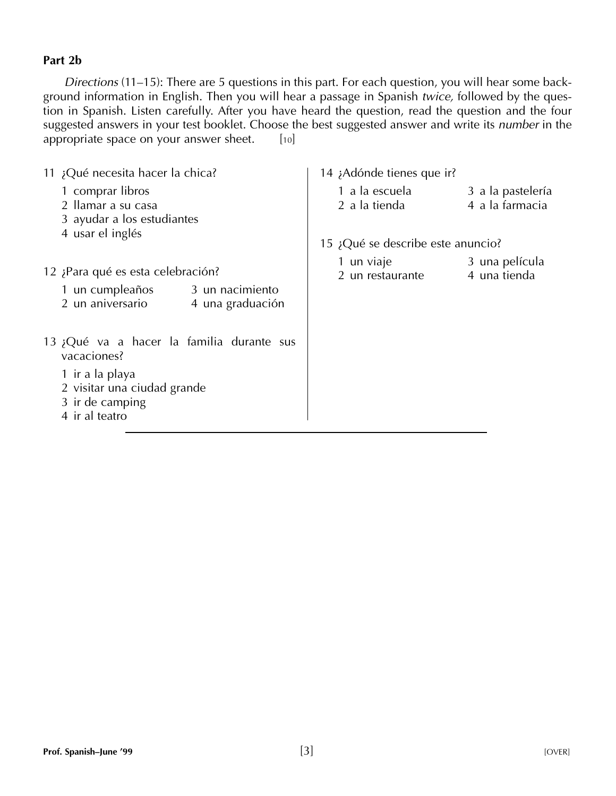## **Part 2b**

*Directions* (11–15): There are 5 questions in this part. For each question, you will hear some background information in English. Then you will hear a passage in Spanish *twice,* followed by the question in Spanish. Listen carefully. After you have heard the question, read the question and the four suggested answers in your test booklet. Choose the best suggested answer and write its *number* in the appropriate space on your answer sheet.  $[10]$ 

| 11 ¿Qué necesita hacer la chica?                                                                                                                | 14 ¡Adónde tienes que ir?                                               |  |  |
|-------------------------------------------------------------------------------------------------------------------------------------------------|-------------------------------------------------------------------------|--|--|
| 1 comprar libros<br>2 llamar a su casa<br>3 ayudar a los estudiantes                                                                            | 1 a la escuela<br>3 a la pastelería<br>4 a la farmacia<br>2 a la tienda |  |  |
| 4 usar el inglés                                                                                                                                | 15 ¿Qué se describe este anuncio?                                       |  |  |
| 12 ¿Para qué es esta celebración?<br>1 un cumpleaños 3 un nacimiento<br>2 un aniversario<br>4 una graduación                                    | 1 un viaje<br>3 una película<br>4 una tienda<br>2 un restaurante        |  |  |
| 13 ¿Qué va a hacer la familia durante sus<br>vacaciones?<br>1 ir a la playa<br>2 visitar una ciudad grande<br>3 ir de camping<br>4 ir al teatro |                                                                         |  |  |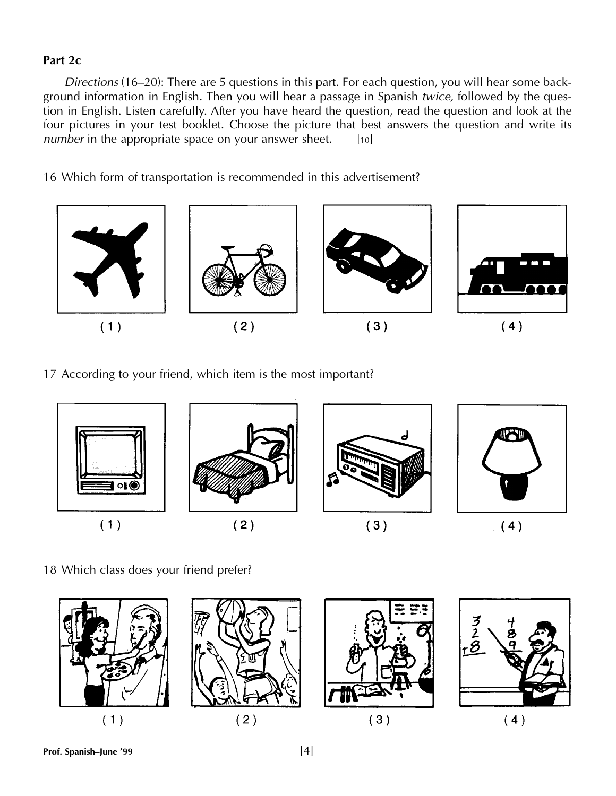## **Part 2c**

*Directions* (16–20): There are 5 questions in this part. For each question, you will hear some background information in English. Then you will hear a passage in Spanish *twice,* followed by the question in English. Listen carefully. After you have heard the question, read the question and look at the four pictures in your test booklet. Choose the picture that best answers the question and write its *number* in the appropriate space on your answer sheet. [10]

16 Which form of transportation is recommended in this advertisement?



17 According to your friend, which item is the most important?



18 Which class does your friend prefer?

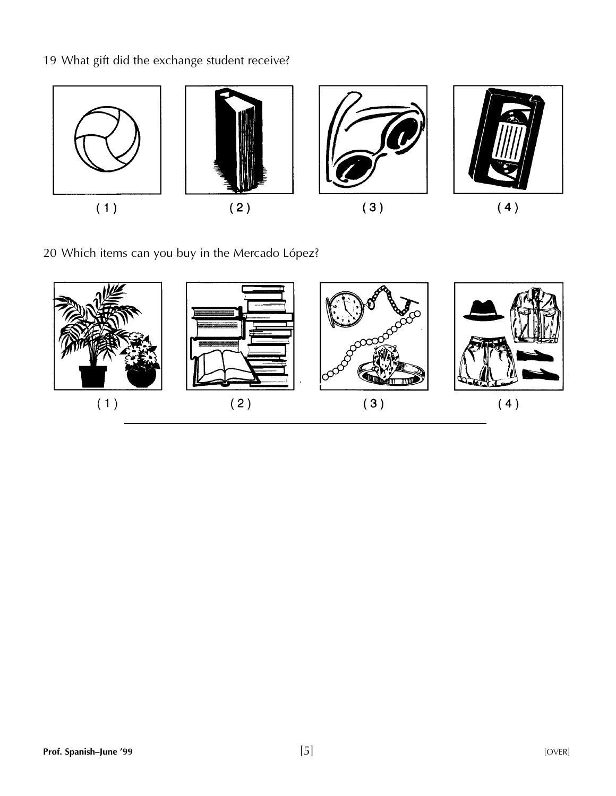19 What gift did the exchange student receive?



20 Which items can you buy in the Mercado López?

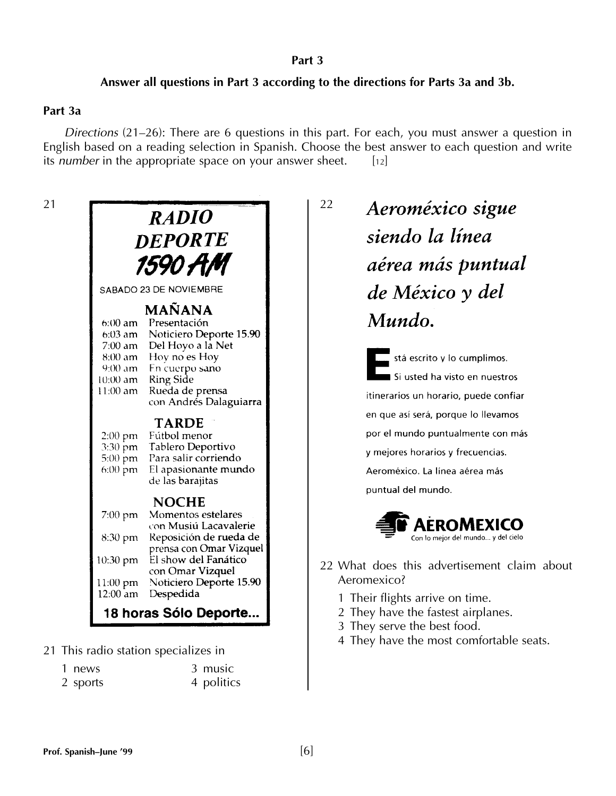#### **Part 3**

## **Answer all questions in Part 3 according to the directions for Parts 3a and 3b.**

### **Part 3a**

*Directions* (21–26): There are 6 questions in this part. For each, you must answer a question in English based on a reading selection in Spanish. Choose the best answer to each question and write its *number* in the appropriate space on your answer sheet. [12]



21 This radio station specializes in

| 1 news   | 3 music    |
|----------|------------|
| 2 sports | 4 politics |

## 22 Aeroméxico sigue siendo la línea aérea más puntual de México y del Mundo.

stá escrito y lo cumplimos. Si usted ha visto en nuestros itinerarios un horario, puede confiar en que así será, porque lo llevamos por el mundo puntualmente con más y mejores horarios y frecuencias. Aeroméxico. La línea aérea más puntual del mundo.



- 22 What does this advertisement claim about Aeromexico?
	- 1 Their flights arrive on time.
	- 2 They have the fastest airplanes.
	- 3 They serve the best food.
	- 4 They have the most comfortable seats.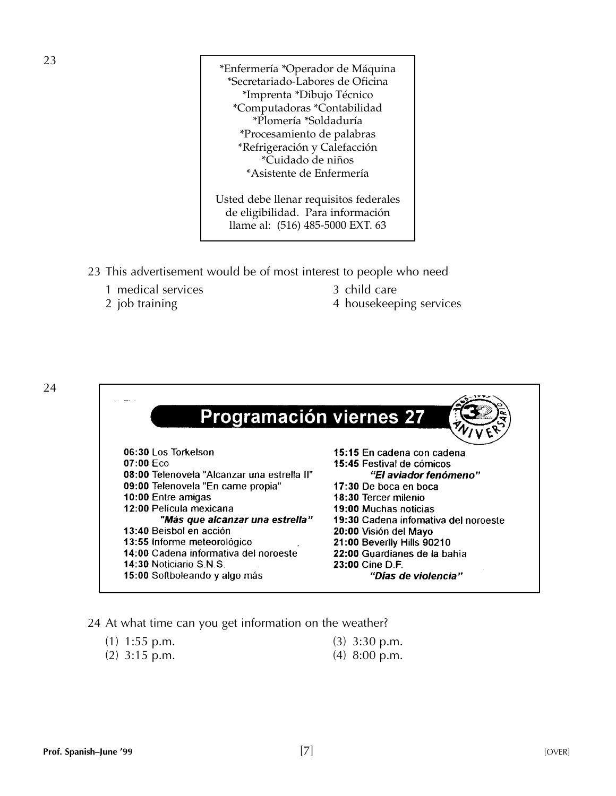\*Enfermería \*Operador de Máquina \*Secretariado-Labores de Oficina \*Imprenta \*Dibujo Técnico \*Computadoras \*Contabilidad \*Plomería \*Soldaduría \*Procesamiento de palabras \*Refrigeración y Calefacción \*Cuidado de niños \*Asistente de Enfermería

Usted debe llenar requisitos federales de eligibilidad. Para información llame al: (516) 485-5000 EXT. 63

- 23 This advertisement would be of most interest to people who need
	- 1 medical services 3 child care
	-
- 
- 2 job training 2 and 4 house keeping services



24 At what time can you get information on the weather?

| $(1)$ 1:55 p.m. | $(3)$ 3:30 p.m. |
|-----------------|-----------------|
| $(2)$ 3:15 p.m. | $(4)$ 8:00 p.m. |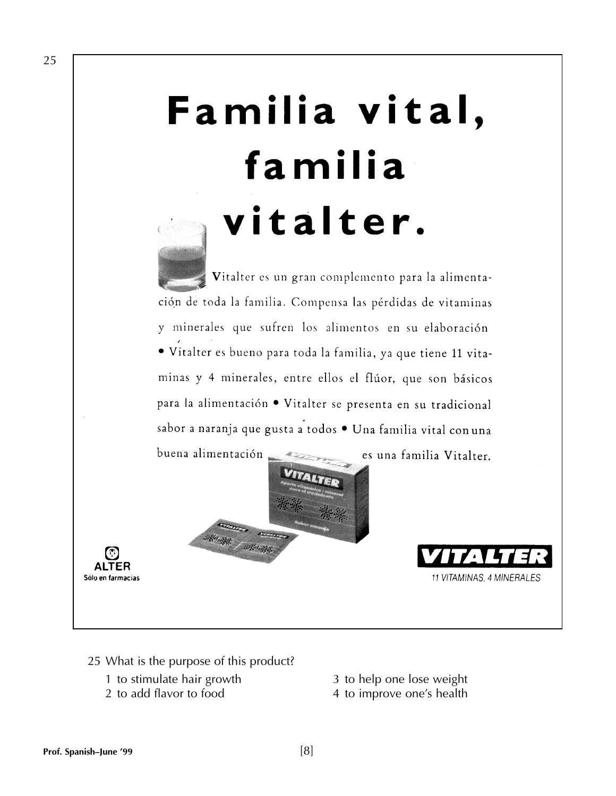# Familia vital, familia vitalter.

Vitalter es un gran complemento para la alimentación de toda la familia. Compensa las pérdidas de vitaminas y minerales que sufren los alimentos en su elaboración · Vitalter es bueno para toda la familia, ya que tiene 11 vitaminas y 4 minerales, entre ellos el flúor, que son básicos para la alimentación · Vitalter se presenta en su tradicional sabor a naranja que gusta a todos · Una familia vital con una





11 VITAMINAS, 4 MINERALES

- 25 What is the purpose of this product?
	- 1 to stimulate hair growth 3 to help one lose weight
	-
- 
- 2 to add flavor to food 4 to improve one's health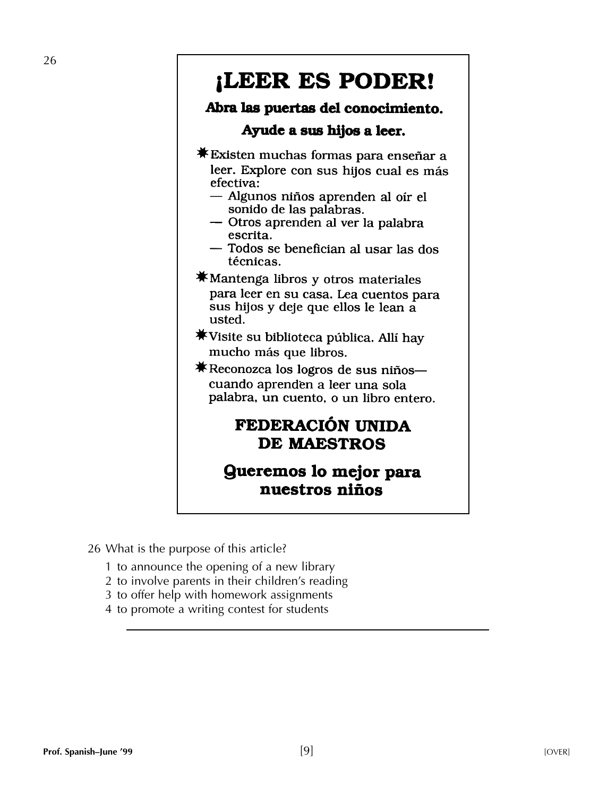## ¡LEER ES PODER!

## Abra las puertas del conocimiento.

## Ayude a sus hijos a leer.

- $\overline{\text{#}}$ **Existen muchas formas para enseñar a** leer. Explore con sus hijos cual es más efectiva:
	- Algunos niños aprenden al oir el sonido de las palabras.
	- Otros aprenden al ver la palabra escrita.
	- Todos se benefician al usar las dos técnicas.
- $\overline{\text{*}}$  Mantenga libros y otros materiales para leer en su casa. Lea cuentos para sus hijos y deje que ellos le lean a usted.
- $*$ Visite su biblioteca pública. Allí hay mucho más que libros.
- $\overline{\text{*}}$ **Reconozca los logros de sus niños** cuando aprenden a leer una sola palabra, un cuento, o un libro entero.

## FEDERACIÓN UNIDA **DE MAESTROS**

## **Gueremos lo mejor para** nuestros niños

26 What is the purpose of this article?

- 1 to announce the opening of a new library
- 2 to involve parents in their children's reading
- 3 to offer help with homework assignments
- 4 to promote a writing contest for students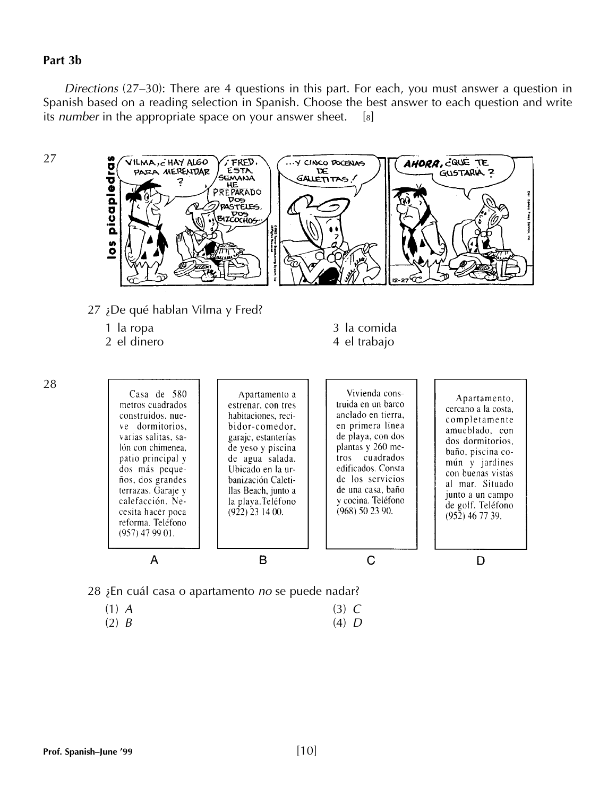#### **Part 3b**

*Directions* (27–30): There are 4 questions in this part. For each, you must answer a question in Spanish based on a reading selection in Spanish. Choose the best answer to each question and write its *number* in the appropriate space on your answer sheet. [8]





- (1) *A* (3) *C*
- (2) *B* (4) *D*

28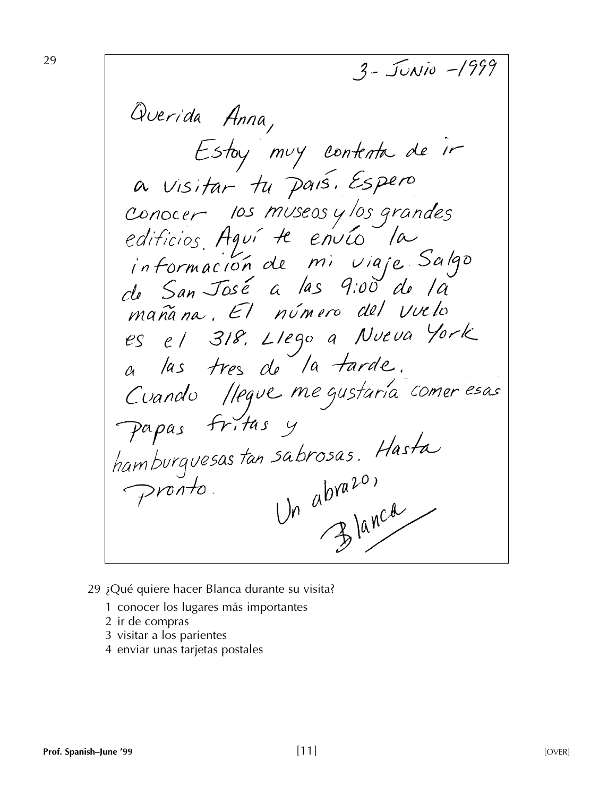$3 - J_{UNIO} - 1999$ Querida Anna, Estay muy contenta de ir a visitar tu país. Espero conocer los museos y los grandes<br>edificios Aguí A envío la<br>información de mi viaje Salgo<br>de San José a las 9:00 de la mañana. El número del vuelo es el 318. Llego a Nueva York a las tres de la tarde. Cuando //eque me gustaria comer esas Papas fritas y hamburguesas tan sabrosas. Hasta sabrosas. Hasta pronto.

- 29 ¿Qué quiere hacer Blanca durante su visita?
	- 1 conocer los lugares más importantes
	- 2 ir de compras
	- 3 visitar a los parientes
	- 4 enviar unas tarjetas postales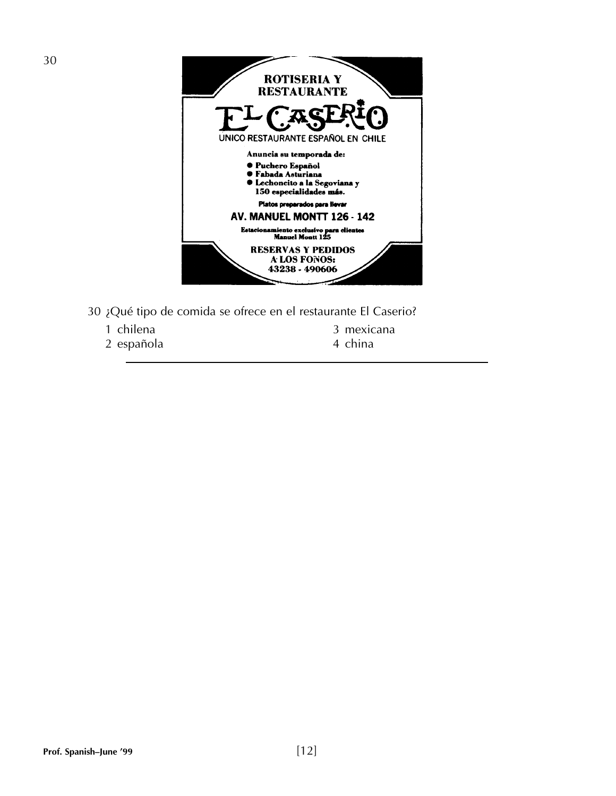

- 30 ¿Qué tipo de comida se ofrece en el restaurante El Caserio?
	-
	- 2 española
	- 1 chilena 1 and 2 mexicana 2 española e a 14 anos 2 mexicana 2 española e a 14 anos 2 mexicana 2 española e a 1
		-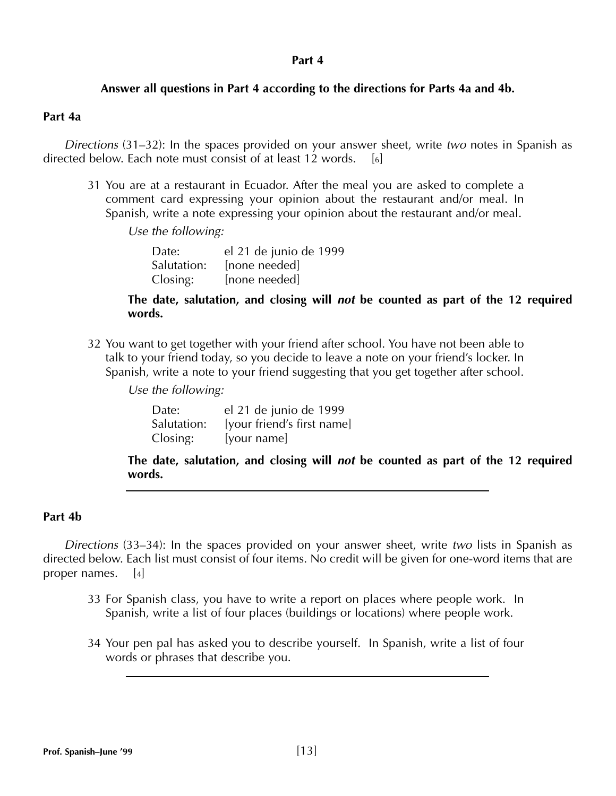## **Answer all questions in Part 4 according to the directions for Parts 4a and 4b.**

### **Part 4a**

*Directions* (31–32): In the spaces provided on your answer sheet, write *two* notes in Spanish as directed below. Each note must consist of at least  $12$  words. [6]

31 You are at a restaurant in Ecuador. After the meal you are asked to complete a comment card expressing your opinion about the restaurant and/or meal. In Spanish, write a note expressing your opinion about the restaurant and/or meal.

*Use the following:*

| Date:       | el 21 de junio de 1999 |
|-------------|------------------------|
| Salutation: | [none needed]          |
| Closing:    | [none needed]          |

**The date, salutation, and closing will** *not* **be counted as part of the 12 required words.**

32 You want to get together with your friend after school. You have not been able to talk to your friend today, so you decide to leave a note on your friend's locker. In Spanish, write a note to your friend suggesting that you get together after school.

*Use the following:*

| Date:       | el 21 de junio de 1999     |
|-------------|----------------------------|
| Salutation: | [your friend's first name] |
| Closing:    | [your name]                |

**The date, salutation, and closing will** *not* **be counted as part of the 12 required words.**

## **Part 4b**

*Directions* (33–34): In the spaces provided on your answer sheet, write *two* lists in Spanish as directed below. Each list must consist of four items. No credit will be given for one-word items that are proper names. [4]

- 33 For Spanish class, you have to write a report on places where people work. In Spanish, write a list of four places (buildings or locations) where people work.
- 34 Your pen pal has asked you to describe yourself. In Spanish, write a list of four words or phrases that describe you.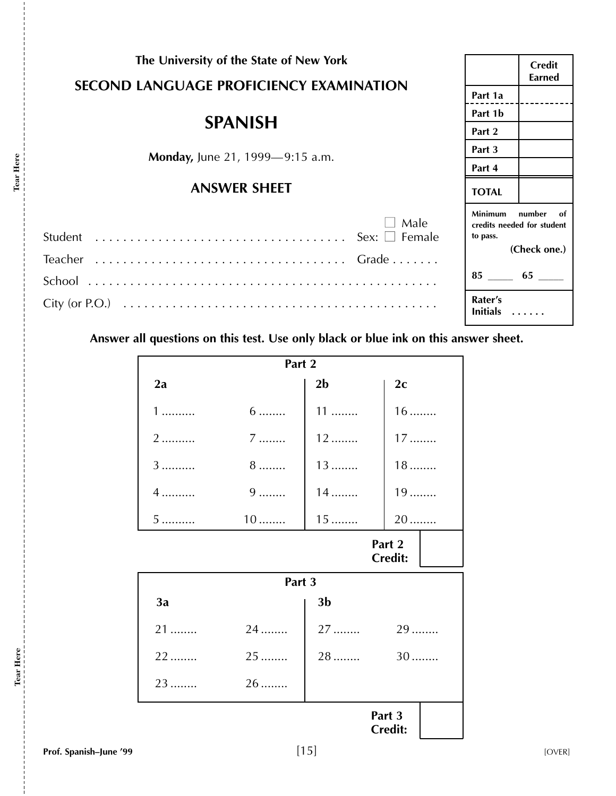| The University of the State of New York                                             | <b>Credit</b><br><b>Earned</b>                                                             |
|-------------------------------------------------------------------------------------|--------------------------------------------------------------------------------------------|
| <b>SECOND LANGUAGE PROFICIENCY EXAMINATION</b>                                      | Part 1a                                                                                    |
| <b>SPANISH</b>                                                                      | Part 1b                                                                                    |
|                                                                                     | Part 2                                                                                     |
| <b>Monday, June 21, 1999—9:15 a.m.</b>                                              | Part 3                                                                                     |
|                                                                                     | Part 4                                                                                     |
| <b>ANSWER SHEET</b>                                                                 | <b>TOTAL</b>                                                                               |
| Male                                                                                | <b>Minimum</b><br>number<br>- of<br>credits needed for student<br>to pass.<br>(Check one.) |
|                                                                                     |                                                                                            |
|                                                                                     | Rater's<br>Initials                                                                        |
| Answer all questions on this test. Use only black or blue ink on this answer sheet. |                                                                                            |

| Part 2                   |                 |                |                          |
|--------------------------|-----------------|----------------|--------------------------|
| 2a                       |                 | 2 <sub>b</sub> | 2c                       |
| $1$                      | $6 \dots$       | $11$           | $16$                     |
| 2                        | $7$             | $12$           | $17$                     |
| 3                        | $8 \dots \dots$ | $13$           | $18$                     |
| 4                        | $9$             | $14$           | 19                       |
| 5                        | $10$            | $15$           | 20                       |
| Part 2<br><b>Credit:</b> |                 |                |                          |
|                          | Part 3          |                |                          |
| 3a                       |                 | 3 <sub>b</sub> |                          |
| $21$                     | 24              | $27$           | 29                       |
| 22                       | 25              | 28             | 30                       |
| 23                       | $26$            |                |                          |
|                          |                 |                | Part 3<br><b>Credit:</b> |

**Tear Here**

Tear Here<br>-----------

 $\frac{1}{2}$   $\frac{1}{2}$   $\frac{1}{2}$   $\frac{1}{2}$   $\frac{1}{2}$   $\frac{1}{2}$   $\frac{1}{2}$   $\frac{1}{2}$   $\frac{1}{2}$   $\frac{1}{2}$   $\frac{1}{2}$   $\frac{1}{2}$   $\frac{1}{2}$   $\frac{1}{2}$   $\frac{1}{2}$   $\frac{1}{2}$   $\frac{1}{2}$   $\frac{1}{2}$   $\frac{1}{2}$   $\frac{1}{2}$   $\frac{1}{2}$   $\frac{1}{2}$ 

**Tear Here**

Tear Here<br>----------